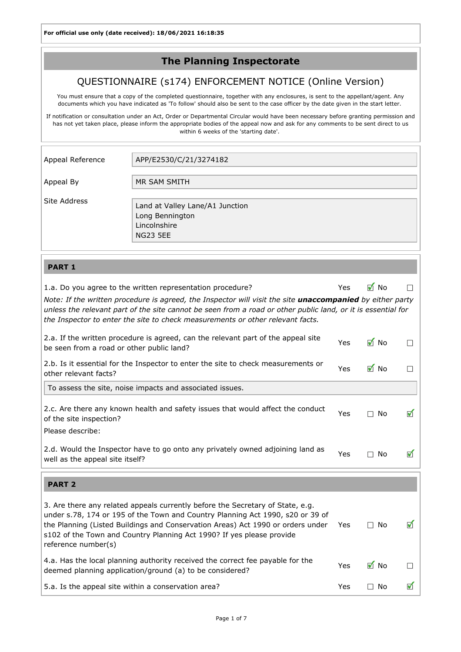## The Planning Inspectorate

### QUESTIONNAIRE (s174) ENFORCEMENT NOTICE (Online Version)

You must ensure that a copy of the completed questionnaire, together with any enclosures, is sent to the appellant/agent. Any documents which you have indicated as 'To follow' should also be sent to the case officer by the date given in the start letter.

If notification or consultation under an Act, Order or Departmental Circular would have been necessary before granting permission and has not yet taken place, please inform the appropriate bodies of the appeal now and ask for any comments to be sent direct to us within 6 weeks of the 'starting date'.

| Appeal Reference | APP/E2530/C/21/3274182                                                                |
|------------------|---------------------------------------------------------------------------------------|
| Appeal By        | MR SAM SMITH                                                                          |
| Site Address     | Land at Valley Lane/A1 Junction<br>Long Bennington<br>Lincolnshire<br><b>NG23 5EE</b> |

#### PART 1

| 1.a. Do you agree to the written representation procedure?                                                                                                                                                                                                                                                                                          | <b>Yes</b> | $\blacksquare$ No |   |
|-----------------------------------------------------------------------------------------------------------------------------------------------------------------------------------------------------------------------------------------------------------------------------------------------------------------------------------------------------|------------|-------------------|---|
| Note: If the written procedure is agreed, the Inspector will visit the site <i>unaccompanied</i> by either party<br>unless the relevant part of the site cannot be seen from a road or other public land, or it is essential for<br>the Inspector to enter the site to check measurements or other relevant facts.                                  |            |                   |   |
| 2.a. If the written procedure is agreed, can the relevant part of the appeal site<br>be seen from a road or other public land?                                                                                                                                                                                                                      | Yes        | <b>M</b> No       |   |
| 2.b. Is it essential for the Inspector to enter the site to check measurements or<br>other relevant facts?                                                                                                                                                                                                                                          | Yes        | $\blacksquare$ No |   |
| To assess the site, noise impacts and associated issues.                                                                                                                                                                                                                                                                                            |            |                   |   |
| 2.c. Are there any known health and safety issues that would affect the conduct<br>of the site inspection?<br>Please describe:                                                                                                                                                                                                                      | Yes        | No<br>$\Box$      | ✔ |
| 2.d. Would the Inspector have to go onto any privately owned adjoining land as<br>well as the appeal site itself?                                                                                                                                                                                                                                   | Yes        | $\square$ No      | ᢦ |
|                                                                                                                                                                                                                                                                                                                                                     |            |                   |   |
| <b>PART 2</b>                                                                                                                                                                                                                                                                                                                                       |            |                   |   |
| 3. Are there any related appeals currently before the Secretary of State, e.g.<br>under s.78, 174 or 195 of the Town and Country Planning Act 1990, s20 or 39 of<br>the Planning (Listed Buildings and Conservation Areas) Act 1990 or orders under<br>s102 of the Town and Country Planning Act 1990? If yes please provide<br>reference number(s) | Yes        | $\square$ No      | ᢦ |
| 4.a. Has the local planning authority received the correct fee payable for the<br>deemed planning application/ground (a) to be considered?                                                                                                                                                                                                          | Yes        | $\blacksquare$ No |   |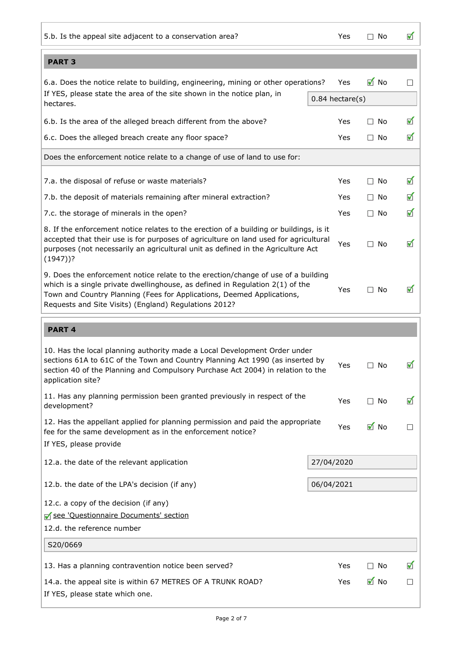| 5.b. Is the appeal site adjacent to a conservation area?                                                                                                                                                                                                                                              | Yes                  | $\Box$ No         | ✔                    |
|-------------------------------------------------------------------------------------------------------------------------------------------------------------------------------------------------------------------------------------------------------------------------------------------------------|----------------------|-------------------|----------------------|
| <b>PART 3</b>                                                                                                                                                                                                                                                                                         |                      |                   |                      |
| 6.a. Does the notice relate to building, engineering, mining or other operations?                                                                                                                                                                                                                     | Yes                  | $\blacksquare$ No | $\Box$               |
| If YES, please state the area of the site shown in the notice plan, in<br>hectares.                                                                                                                                                                                                                   | $0.84$ hectare $(s)$ |                   |                      |
| 6.b. Is the area of the alleged breach different from the above?                                                                                                                                                                                                                                      | Yes                  | $\Box$ No         | ✔                    |
| 6.c. Does the alleged breach create any floor space?                                                                                                                                                                                                                                                  | Yes                  | $\Box$ No         | ✔                    |
| Does the enforcement notice relate to a change of use of land to use for:                                                                                                                                                                                                                             |                      |                   |                      |
| 7.a. the disposal of refuse or waste materials?                                                                                                                                                                                                                                                       | Yes                  | $\Box$ No         | $\blacktriangledown$ |
| 7.b. the deposit of materials remaining after mineral extraction?                                                                                                                                                                                                                                     | Yes                  | $\Box$ No         | $\blacktriangledown$ |
| 7.c. the storage of minerals in the open?                                                                                                                                                                                                                                                             | Yes                  | $\Box$ No         | ✔                    |
| 8. If the enforcement notice relates to the erection of a building or buildings, is it<br>accepted that their use is for purposes of agriculture on land used for agricultural<br>purposes (not necessarily an agricultural unit as defined in the Agriculture Act<br>$(1947)$ ?                      | Yes                  | $\square$ No      | ✔                    |
| 9. Does the enforcement notice relate to the erection/change of use of a building<br>which is a single private dwellinghouse, as defined in Regulation 2(1) of the<br>Town and Country Planning (Fees for Applications, Deemed Applications,<br>Requests and Site Visits) (England) Regulations 2012? | Yes                  | $\Box$ No         | ✔                    |
|                                                                                                                                                                                                                                                                                                       |                      |                   |                      |
| <b>PART 4</b>                                                                                                                                                                                                                                                                                         |                      |                   |                      |
| 10. Has the local planning authority made a Local Development Order under<br>sections 61A to 61C of the Town and Country Planning Act 1990 (as inserted by<br>section 40 of the Planning and Compulsory Purchase Act 2004) in relation to the<br>application site?                                    | Yes                  | $\Box$ No         | ✔                    |
| 11. Has any planning permission been granted previously in respect of the<br>development?                                                                                                                                                                                                             | Yes                  | $\square$ No      | ✔                    |
| 12. Has the appellant applied for planning permission and paid the appropriate<br>fee for the same development as in the enforcement notice?                                                                                                                                                          | Yes                  | $\blacksquare$ No |                      |
| If YES, please provide                                                                                                                                                                                                                                                                                |                      |                   |                      |
| 12.a. the date of the relevant application                                                                                                                                                                                                                                                            | 27/04/2020           |                   |                      |
| 12.b. the date of the LPA's decision (if any)                                                                                                                                                                                                                                                         | 06/04/2021           |                   |                      |
| 12.c. a copy of the decision (if any)                                                                                                                                                                                                                                                                 |                      |                   |                      |
| See 'Questionnaire Documents' section                                                                                                                                                                                                                                                                 |                      |                   |                      |
| 12.d. the reference number                                                                                                                                                                                                                                                                            |                      |                   |                      |
| S20/0669                                                                                                                                                                                                                                                                                              |                      |                   |                      |
| 13. Has a planning contravention notice been served?                                                                                                                                                                                                                                                  | Yes                  | $\square$ No      | ✔                    |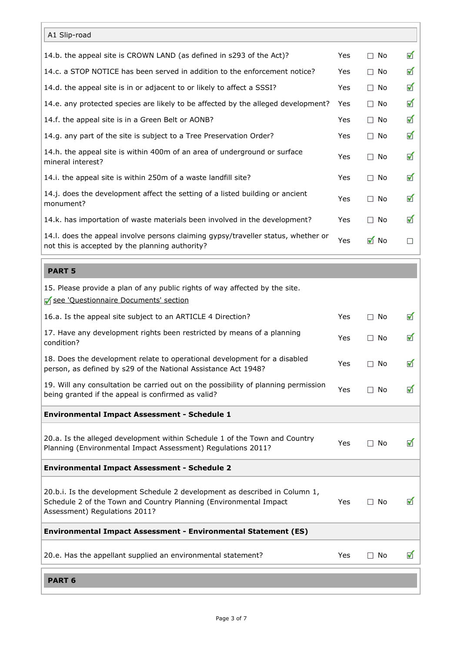| A1 Slip-road                                                                                                                                                                      |      |                   |                      |
|-----------------------------------------------------------------------------------------------------------------------------------------------------------------------------------|------|-------------------|----------------------|
| 14.b. the appeal site is CROWN LAND (as defined in s293 of the Act)?                                                                                                              | Yes  | $\square$ No      | ✔                    |
| 14.c. a STOP NOTICE has been served in addition to the enforcement notice?                                                                                                        | Yes  | $\Box$ No         | ✔                    |
| 14.d. the appeal site is in or adjacent to or likely to affect a SSSI?                                                                                                            | Yes  | $\Box$ No         | $\blacktriangledown$ |
| 14.e. any protected species are likely to be affected by the alleged development?                                                                                                 | Yes  | $\Box$ No         | $\blacktriangledown$ |
| 14.f. the appeal site is in a Green Belt or AONB?                                                                                                                                 | Yes  | $\Box$ No         | $\blacktriangledown$ |
| 14.g. any part of the site is subject to a Tree Preservation Order?                                                                                                               | Yes  | $\square$ No      | $\blacktriangledown$ |
| 14.h. the appeal site is within 400m of an area of underground or surface<br>mineral interest?                                                                                    | Yes  | $\Box$ No         | $\blacktriangledown$ |
| 14.i. the appeal site is within 250m of a waste landfill site?                                                                                                                    | Yes  | $\Box$ No         | $\blacktriangledown$ |
| 14.j. does the development affect the setting of a listed building or ancient<br>monument?                                                                                        | Yes  | $\Box$ No         | ✔                    |
| 14.k. has importation of waste materials been involved in the development?                                                                                                        | Yes  | $\Box$ No         | ✔                    |
| 14.I. does the appeal involve persons claiming gypsy/traveller status, whether or<br>not this is accepted by the planning authority?                                              | Yes  | $\blacksquare$ No | $\Box$               |
| <b>PART 5</b>                                                                                                                                                                     |      |                   |                      |
|                                                                                                                                                                                   |      |                   |                      |
| 15. Please provide a plan of any public rights of way affected by the site.<br>See 'Questionnaire Documents' section                                                              |      |                   |                      |
| 16.a. Is the appeal site subject to an ARTICLE 4 Direction?                                                                                                                       | Yes  | $\square$ No      | ✔                    |
| 17. Have any development rights been restricted by means of a planning<br>condition?                                                                                              | Yes  | $\square$ No      | ✔                    |
| 18. Does the development relate to operational development for a disabled<br>person, as defined by s29 of the National Assistance Act 1948?                                       | Yes  | $\Box$ No         | ✔                    |
| 19. Will any consultation be carried out on the possibility of planning permission<br>being granted if the appeal is confirmed as valid?                                          | Yes  | $\square$ No      | ✔                    |
| <b>Environmental Impact Assessment - Schedule 1</b>                                                                                                                               |      |                   |                      |
| 20.a. Is the alleged development within Schedule 1 of the Town and Country<br>Planning (Environmental Impact Assessment) Regulations 2011?                                        | Yes  | $\square$ No      | ✔                    |
| <b>Environmental Impact Assessment - Schedule 2</b>                                                                                                                               |      |                   |                      |
| 20.b.i. Is the development Schedule 2 development as described in Column 1,<br>Schedule 2 of the Town and Country Planning (Environmental Impact<br>Assessment) Regulations 2011? | Yes. | $\Box$ No         | $\blacktriangledown$ |
| <b>Environmental Impact Assessment - Environmental Statement (ES)</b>                                                                                                             |      |                   |                      |
| 20.e. Has the appellant supplied an environmental statement?                                                                                                                      | Yes  | $\square$ No      | ✔                    |
| <b>PART 6</b>                                                                                                                                                                     |      |                   |                      |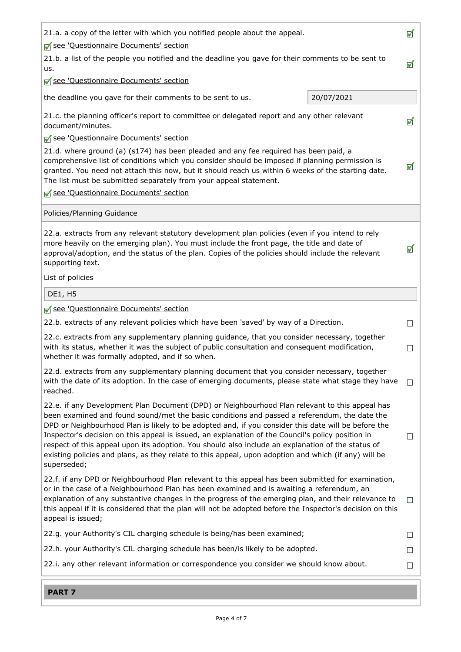| ✔<br>21.a. a copy of the letter with which you notified people about the appeal.<br>See 'Questionnaire Documents' section                                                                                                                                                                                                                                                                                                                                                                                                                                                                                                              |                             |
|----------------------------------------------------------------------------------------------------------------------------------------------------------------------------------------------------------------------------------------------------------------------------------------------------------------------------------------------------------------------------------------------------------------------------------------------------------------------------------------------------------------------------------------------------------------------------------------------------------------------------------------|-----------------------------|
| 21.b. a list of the people you notified and the deadline you gave for their comments to be sent to<br>$\blacktriangledown$<br>us.                                                                                                                                                                                                                                                                                                                                                                                                                                                                                                      |                             |
| See 'Questionnaire Documents' section                                                                                                                                                                                                                                                                                                                                                                                                                                                                                                                                                                                                  |                             |
| 20/07/2021<br>the deadline you gave for their comments to be sent to us.                                                                                                                                                                                                                                                                                                                                                                                                                                                                                                                                                               |                             |
| 21.c. the planning officer's report to committee or delegated report and any other relevant<br>document/minutes.<br>See 'Questionnaire Documents' section                                                                                                                                                                                                                                                                                                                                                                                                                                                                              | $\blacktriangledown$        |
| 21.d. where ground (a) (s174) has been pleaded and any fee required has been paid, a<br>comprehensive list of conditions which you consider should be imposed if planning permission is<br>granted. You need not attach this now, but it should reach us within 6 weeks of the starting date.<br>The list must be submitted separately from your appeal statement.                                                                                                                                                                                                                                                                     |                             |
| □ see 'Questionnaire Documents' section                                                                                                                                                                                                                                                                                                                                                                                                                                                                                                                                                                                                |                             |
| Policies/Planning Guidance                                                                                                                                                                                                                                                                                                                                                                                                                                                                                                                                                                                                             |                             |
| 22.a. extracts from any relevant statutory development plan policies (even if you intend to rely<br>more heavily on the emerging plan). You must include the front page, the title and date of<br>approval/adoption, and the status of the plan. Copies of the policies should include the relevant<br>supporting text.                                                                                                                                                                                                                                                                                                                | ✔                           |
| List of policies                                                                                                                                                                                                                                                                                                                                                                                                                                                                                                                                                                                                                       |                             |
| <b>DE1, H5</b>                                                                                                                                                                                                                                                                                                                                                                                                                                                                                                                                                                                                                         |                             |
| See 'Questionnaire Documents' section                                                                                                                                                                                                                                                                                                                                                                                                                                                                                                                                                                                                  |                             |
| 22.b. extracts of any relevant policies which have been 'saved' by way of a Direction.                                                                                                                                                                                                                                                                                                                                                                                                                                                                                                                                                 | $\mathcal{L}$               |
| 22.c. extracts from any supplementary planning guidance, that you consider necessary, together<br>with its status, whether it was the subject of public consultation and consequent modification,<br>whether it was formally adopted, and if so when.                                                                                                                                                                                                                                                                                                                                                                                  | $\Box$                      |
| 22.d. extracts from any supplementary planning document that you consider necessary, together<br>with the date of its adoption. In the case of emerging documents, please state what stage they have<br>reached.                                                                                                                                                                                                                                                                                                                                                                                                                       | $\sim$                      |
| 22.e. if any Development Plan Document (DPD) or Neighbourhood Plan relevant to this appeal has<br>been examined and found sound/met the basic conditions and passed a referendum, the date the<br>DPD or Neighbourhood Plan is likely to be adopted and, if you consider this date will be before the<br>Inspector's decision on this appeal is issued, an explanation of the Council's policy position in<br>respect of this appeal upon its adoption. You should also include an explanation of the status of<br>existing policies and plans, as they relate to this appeal, upon adoption and which (if any) will be<br>superseded; | $\Box$                      |
| 22.f. if any DPD or Neighbourhood Plan relevant to this appeal has been submitted for examination,<br>or in the case of a Neighbourhood Plan has been examined and is awaiting a referendum, an<br>explanation of any substantive changes in the progress of the emerging plan, and their relevance to<br>this appeal if it is considered that the plan will not be adopted before the Inspector's decision on this<br>appeal is issued;                                                                                                                                                                                               | $\Box$                      |
| 22.g. your Authority's CIL charging schedule is being/has been examined;                                                                                                                                                                                                                                                                                                                                                                                                                                                                                                                                                               | $\mathcal{L}_{\mathcal{A}}$ |
| 22.h. your Authority's CIL charging schedule has been/is likely to be adopted.                                                                                                                                                                                                                                                                                                                                                                                                                                                                                                                                                         | $\mathcal{L}$               |
| 22.i. any other relevant information or correspondence you consider we should know about.                                                                                                                                                                                                                                                                                                                                                                                                                                                                                                                                              | $\mathcal{L}_{\mathcal{A}}$ |
| <b>PART 7</b>                                                                                                                                                                                                                                                                                                                                                                                                                                                                                                                                                                                                                          |                             |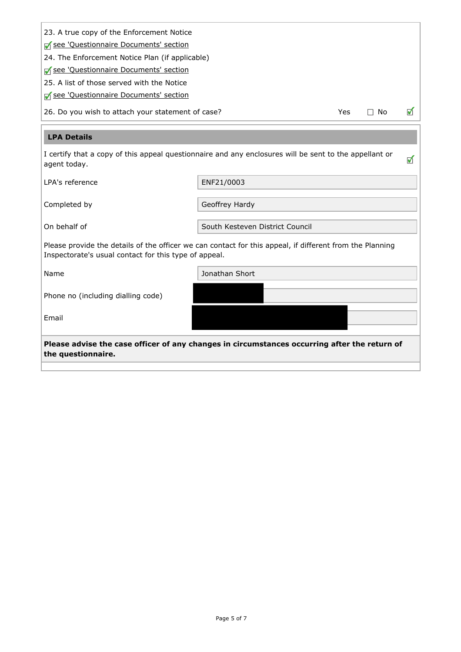| 23. A true copy of the Enforcement Notice<br>See 'Questionnaire Documents' section<br>24. The Enforcement Notice Plan (if applicable)<br>See 'Questionnaire Documents' section<br>25. A list of those served with the Notice |                                 |  |   |   |
|------------------------------------------------------------------------------------------------------------------------------------------------------------------------------------------------------------------------------|---------------------------------|--|---|---|
| See 'Questionnaire Documents' section<br>26. Do you wish to attach your statement of case?<br>$\Box$ No<br>Yes                                                                                                               |                                 |  | ᢦ |   |
| <b>LPA Details</b>                                                                                                                                                                                                           |                                 |  |   |   |
| I certify that a copy of this appeal questionnaire and any enclosures will be sent to the appellant or<br>agent today.                                                                                                       |                                 |  |   | ✔ |
| LPA's reference                                                                                                                                                                                                              | ENF21/0003                      |  |   |   |
| Completed by                                                                                                                                                                                                                 | Geoffrey Hardy                  |  |   |   |
| On behalf of                                                                                                                                                                                                                 | South Kesteven District Council |  |   |   |
| Please provide the details of the officer we can contact for this appeal, if different from the Planning<br>Inspectorate's usual contact for this type of appeal.                                                            |                                 |  |   |   |
| Name                                                                                                                                                                                                                         | Jonathan Short                  |  |   |   |
| Phone no (including dialling code)                                                                                                                                                                                           |                                 |  |   |   |
| Email                                                                                                                                                                                                                        |                                 |  |   |   |
| Please advise the case officer of any changes in circumstances occurring after the return of<br>the questionnaire.                                                                                                           |                                 |  |   |   |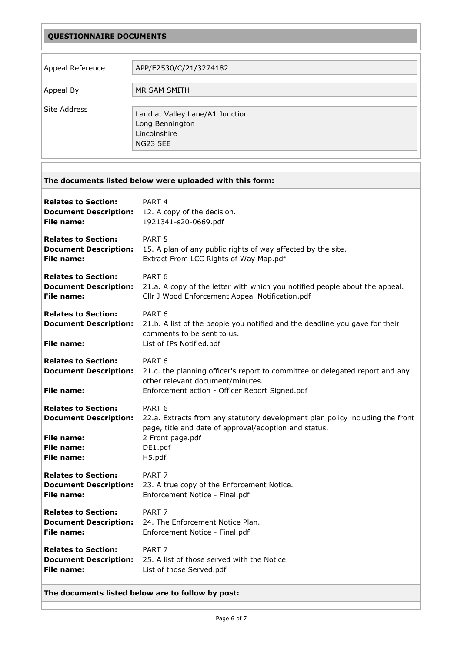# QUESTIONNAIRE DOCUMENTS

| Appeal Reference | APP/E2530/C/21/3274182                                                                |
|------------------|---------------------------------------------------------------------------------------|
| Appeal By        | MR SAM SMITH                                                                          |
| Site Address     | Land at Valley Lane/A1 Junction<br>Long Bennington<br>Lincolnshire<br><b>NG23 5EE</b> |

<span id="page-5-0"></span>

| The documents listed below were uploaded with this form:                                                                  |                                                                                                                                                                                                      |
|---------------------------------------------------------------------------------------------------------------------------|------------------------------------------------------------------------------------------------------------------------------------------------------------------------------------------------------|
| <b>Relates to Section:</b>                                                                                                | PART <sub>4</sub>                                                                                                                                                                                    |
| <b>Document Description:</b>                                                                                              | 12. A copy of the decision.                                                                                                                                                                          |
| File name:                                                                                                                | 1921341-s20-0669.pdf                                                                                                                                                                                 |
| <b>Relates to Section:</b>                                                                                                | PART <sub>5</sub>                                                                                                                                                                                    |
| <b>Document Description:</b>                                                                                              | 15. A plan of any public rights of way affected by the site.                                                                                                                                         |
| File name:                                                                                                                | Extract From LCC Rights of Way Map.pdf                                                                                                                                                               |
| <b>Relates to Section:</b>                                                                                                | PART <sub>6</sub>                                                                                                                                                                                    |
| <b>Document Description:</b>                                                                                              | 21.a. A copy of the letter with which you notified people about the appeal.                                                                                                                          |
| <b>File name:</b>                                                                                                         | Cllr J Wood Enforcement Appeal Notification.pdf                                                                                                                                                      |
| <b>Relates to Section:</b><br><b>Document Description:</b><br><b>File name:</b>                                           | PART <sub>6</sub><br>21.b. A list of the people you notified and the deadline you gave for their<br>comments to be sent to us.<br>List of IPs Notified.pdf                                           |
| <b>Relates to Section:</b><br><b>Document Description:</b><br><b>File name:</b>                                           | PART <sub>6</sub><br>21.c. the planning officer's report to committee or delegated report and any<br>other relevant document/minutes.<br>Enforcement action - Officer Report Signed.pdf              |
| <b>Relates to Section:</b><br><b>Document Description:</b><br><b>File name:</b><br><b>File name:</b><br><b>File name:</b> | PART <sub>6</sub><br>22.a. Extracts from any statutory development plan policy including the front<br>page, title and date of approval/adoption and status.<br>2 Front page.pdf<br>DE1.pdf<br>H5.pdf |
| <b>Relates to Section:</b>                                                                                                | PART <sub>7</sub>                                                                                                                                                                                    |
| <b>Document Description:</b>                                                                                              | 23. A true copy of the Enforcement Notice.                                                                                                                                                           |
| File name:                                                                                                                | Enforcement Notice - Final.pdf                                                                                                                                                                       |
| <b>Relates to Section:</b>                                                                                                | PART <sub>7</sub>                                                                                                                                                                                    |
| <b>Document Description:</b>                                                                                              | 24. The Enforcement Notice Plan.                                                                                                                                                                     |
| File name:                                                                                                                | Enforcement Notice - Final.pdf                                                                                                                                                                       |
| <b>Relates to Section:</b>                                                                                                | PART <sub>7</sub>                                                                                                                                                                                    |
| <b>Document Description:</b>                                                                                              | 25. A list of those served with the Notice.                                                                                                                                                          |
| File name:                                                                                                                | List of those Served.pdf                                                                                                                                                                             |

#### The documents listed below are to follow by post: